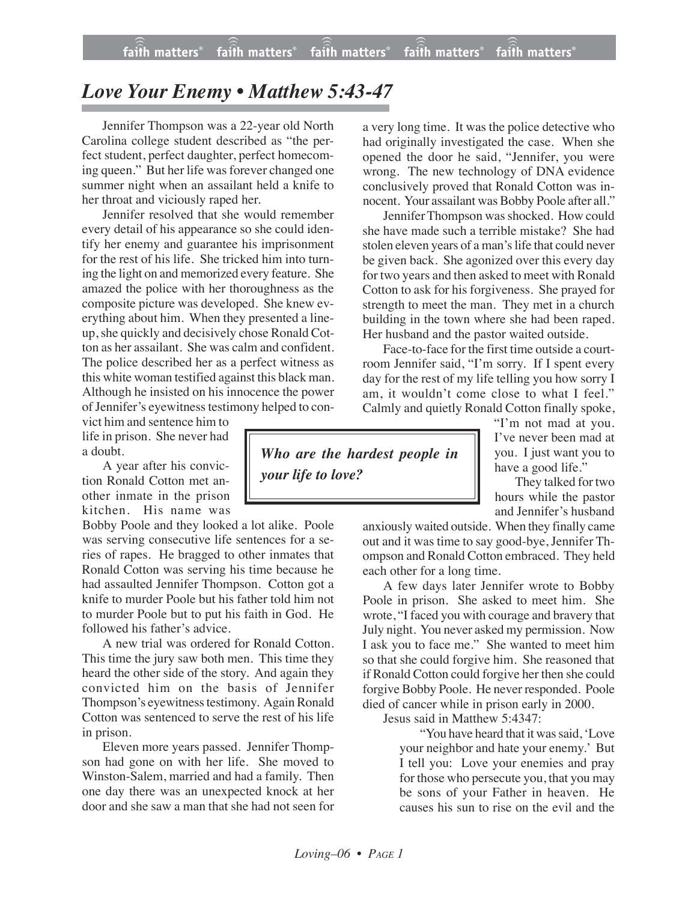## *Love Your Enemy • Matthew 5:43-47*

Jennifer Thompson was a 22-year old North Carolina college student described as "the perfect student, perfect daughter, perfect homecoming queen." But her life was forever changed one summer night when an assailant held a knife to her throat and viciously raped her.

Jennifer resolved that she would remember every detail of his appearance so she could identify her enemy and guarantee his imprisonment for the rest of his life. She tricked him into turning the light on and memorized every feature. She amazed the police with her thoroughness as the composite picture was developed. She knew everything about him. When they presented a lineup,she quickly and decisively chose Ronald Cotton as her assailant. She was calm and confident. The police described her as a perfect witness as this white woman testified against this black man. Although he insisted on his innocence the power of Jennifer's eyewitness testimony helped to con-

vict him and sentence him to life in prison. She never had a doubt.

A year after his conviction Ronald Cotton met another inmate in the prison kitchen. His name was

Bobby Poole and they looked a lot alike. Poole was serving consecutive life sentences for a series of rapes. He bragged to other inmates that Ronald Cotton was serving his time because he had assaulted Jennifer Thompson. Cotton got a knife to murder Poole but his father told him not to murder Poole but to put his faith in God. He followed his father's advice.

A new trial was ordered for Ronald Cotton. This time the jury saw both men. This time they heard the other side of the story. And again they convicted him on the basis of Jennifer Thompson's eyewitness testimony. Again Ronald Cotton was sentenced to serve the rest of his life in prison.

Eleven more years passed. Jennifer Thompson had gone on with her life. She moved to Winston-Salem, married and had a family. Then one day there was an unexpected knock at her door and she saw a man that she had not seen for a very long time. It was the police detective who had originally investigated the case. When she opened the door he said, "Jennifer, you were wrong. The new technology of DNA evidence conclusively proved that Ronald Cotton was innocent. Your assailant was Bobby Poole after all."

Jennifer Thompson was shocked. How could she have made such a terrible mistake? She had stolen eleven years of a man's life that could never be given back. She agonized over this every day for two years and then asked to meet with Ronald Cotton to ask for his forgiveness. She prayed for strength to meet the man. They met in a church building in the town where she had been raped. Her husband and the pastor waited outside.

Face-to-face for the first time outside a courtroom Jennifer said, "I'm sorry. If I spent every day for the rest of my life telling you how sorry I am, it wouldn't come close to what I feel." Calmly and quietly Ronald Cotton finally spoke,

> "I'm not mad at you. I've never been mad at you. I just want you to have a good life."

They talked for two hours while the pastor and Jennifer's husband

anxiously waited outside. When they finally came out and it was time to say good-bye, Jennifer Thompson and Ronald Cotton embraced. They held each other for a long time.

A few days later Jennifer wrote to Bobby Poole in prison. She asked to meet him. She wrote, "I faced you with courage and bravery that July night. You never asked my permission. Now I ask you to face me." She wanted to meet him so that she could forgive him. She reasoned that if Ronald Cotton could forgive her then she could forgive Bobby Poole. He never responded. Poole died of cancer while in prison early in 2000.

Jesus said in Matthew 5:4347:

"You have heard that it was said, 'Love' your neighbor and hate your enemy.' But I tell you: Love your enemies and pray for those who persecute you, that you may be sons of your Father in heaven. He causes his sun to rise on the evil and the

*Who are the hardest people in your life to love?*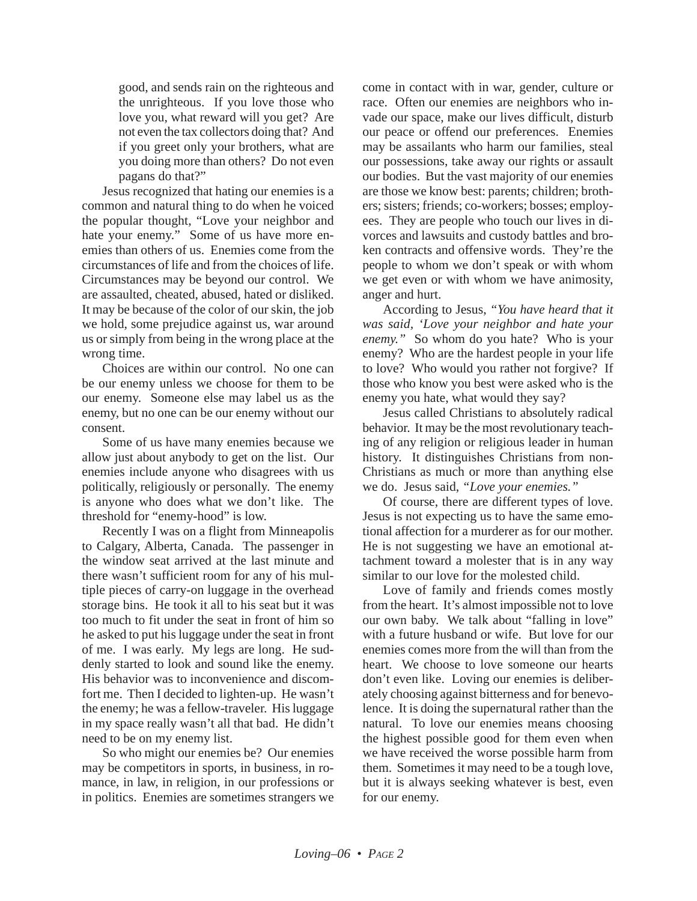good, and sends rain on the righteous and the unrighteous. If you love those who love you, what reward will you get? Are not even the tax collectors doing that? And if you greet only your brothers, what are you doing more than others? Do not even pagans do that?"

Jesus recognized that hating our enemies is a common and natural thing to do when he voiced the popular thought, "Love your neighbor and hate your enemy." Some of us have more enemies than others of us. Enemies come from the circumstances of life and from the choices of life. Circumstances may be beyond our control. We are assaulted, cheated, abused, hated or disliked. It may be because of the color of our skin, the job we hold, some prejudice against us, war around us or simply from being in the wrong place at the wrong time.

Choices are within our control. No one can be our enemy unless we choose for them to be our enemy. Someone else may label us as the enemy, but no one can be our enemy without our consent.

Some of us have many enemies because we allow just about anybody to get on the list. Our enemies include anyone who disagrees with us politically, religiously or personally. The enemy is anyone who does what we don't like. The threshold for "enemy-hood" is low.

Recently I was on a flight from Minneapolis to Calgary, Alberta, Canada. The passenger in the window seat arrived at the last minute and there wasn't sufficient room for any of his multiple pieces of carry-on luggage in the overhead storage bins. He took it all to his seat but it was too much to fit under the seat in front of him so he asked to put his luggage under the seat in front of me. I was early. My legs are long. He suddenly started to look and sound like the enemy. His behavior was to inconvenience and discomfort me. Then I decided to lighten-up. He wasn't the enemy; he was a fellow-traveler. His luggage in my space really wasn't all that bad. He didn't need to be on my enemy list.

So who might our enemies be? Our enemies may be competitors in sports, in business, in romance, in law, in religion, in our professions or in politics. Enemies are sometimes strangers we come in contact with in war, gender, culture or race. Often our enemies are neighbors who invade our space, make our lives difficult, disturb our peace or offend our preferences. Enemies may be assailants who harm our families, steal our possessions, take away our rights or assault our bodies. But the vast majority of our enemies are those we know best: parents; children; brothers; sisters; friends; co-workers; bosses; employees. They are people who touch our lives in divorces and lawsuits and custody battles and broken contracts and offensive words. They're the people to whom we don't speak or with whom we get even or with whom we have animosity, anger and hurt.

According to Jesus, *"You have heard that it was said, 'Love your neighbor and hate your enemy."* So whom do you hate? Who is your enemy? Who are the hardest people in your life to love? Who would you rather not forgive? If those who know you best were asked who is the enemy you hate, what would they say?

Jesus called Christians to absolutely radical behavior. It may be the most revolutionary teaching of any religion or religious leader in human history. It distinguishes Christians from non-Christians as much or more than anything else we do. Jesus said, *"Love your enemies."*

Of course, there are different types of love. Jesus is not expecting us to have the same emotional affection for a murderer as for our mother. He is not suggesting we have an emotional attachment toward a molester that is in any way similar to our love for the molested child.

Love of family and friends comes mostly from the heart. It's almost impossible not to love our own baby. We talk about "falling in love" with a future husband or wife. But love for our enemies comes more from the will than from the heart. We choose to love someone our hearts don't even like. Loving our enemies is deliberately choosing against bitterness and for benevolence. It is doing the supernatural rather than the natural. To love our enemies means choosing the highest possible good for them even when we have received the worse possible harm from them. Sometimes it may need to be a tough love, but it is always seeking whatever is best, even for our enemy.